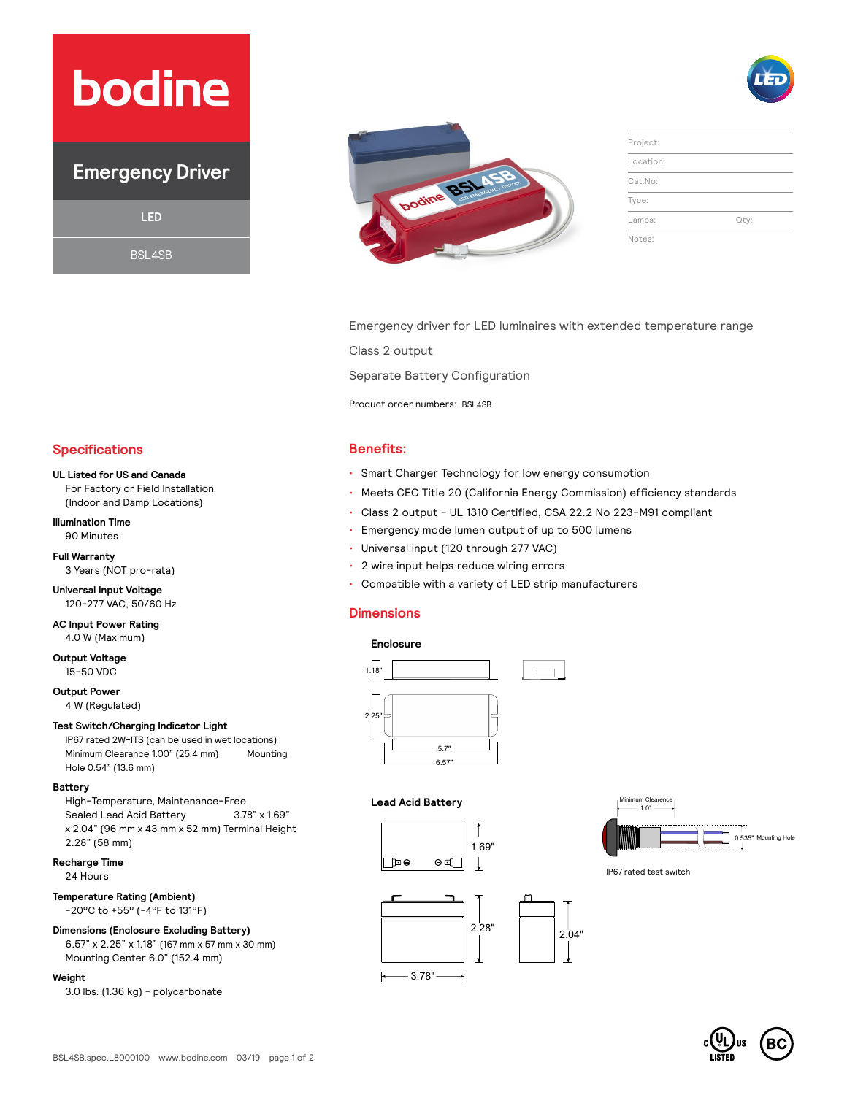# **bodine**

### **Emergency Driver**

**LED**

BSL4SB



| Project:  |      |
|-----------|------|
| Location: |      |
| Cat.No:   |      |
| Type:     |      |
| Lamps:    | Qty: |
| Notes:    |      |

Emergency driver for LED luminaires with extended temperature range

Class 2 output

Separate Battery Configuration

Product order numbers: BSL4SB

- Smart Charger Technology for low energy consumption
- Meets CEC Title 20 (California Energy Commission) efficiency standards
- Class 2 output UL 1310 Certified, CSA 22.2 No 223-M91 compliant
- Emergency mode lumen output of up to 500 lumens
- Universal input (120 through 277 VAC)
- 2 wire input helps reduce wiring errors
- Compatible with a variety of LED strip manufacturers

#### **Dimensions**

#### **Enclosure**



#### **Lead Acid Battery**





IP67 rated test switch

### **Specifications Benefits:**

#### **UL Listed for US and Canada**

For Factory or Field Installation (Indoor and Damp Locations)

#### **Illumination Time** 90 Minutes

**Full Warranty** 3 Years (NOT pro-rata)

**Universal Input Voltage** 120-277 VAC, 50/60 Hz

**AC Input Power Rating** 4.0 W (Maximum)

**Output Voltage** 15-50 VDC

**Output Power**

4 W (Regulated)

#### **Test Switch/Charging Indicator Light**

IP67 rated 2W-ITS (can be used in wet locations) Minimum Clearance 1.00" (25.4 mm) Mounting Hole 0.54" (13.6 mm)

#### **Battery**

High-Temperature, Maintenance-Free Sealed Lead Acid Battery 3.78" x 1.69" x 2.04" (96 mm x 43 mm x 52 mm) Terminal Height 2.28" (58 mm)

#### **Recharge Time**

24 Hours

#### **Temperature Rating (Ambient)** -20°C to +55° (-4°F to 131°F)

#### **Dimensions (Enclosure Excluding Battery)**

6.57" x 2.25" x 1.18" (167 mm x 57 mm x 30 mm) Mounting Center 6.0" (152.4 mm)

#### **Weight**

3.0 lbs. (1.36 kg) - polycarbonate

## $2.28"$   $2.04"$  $-3.78"$ k